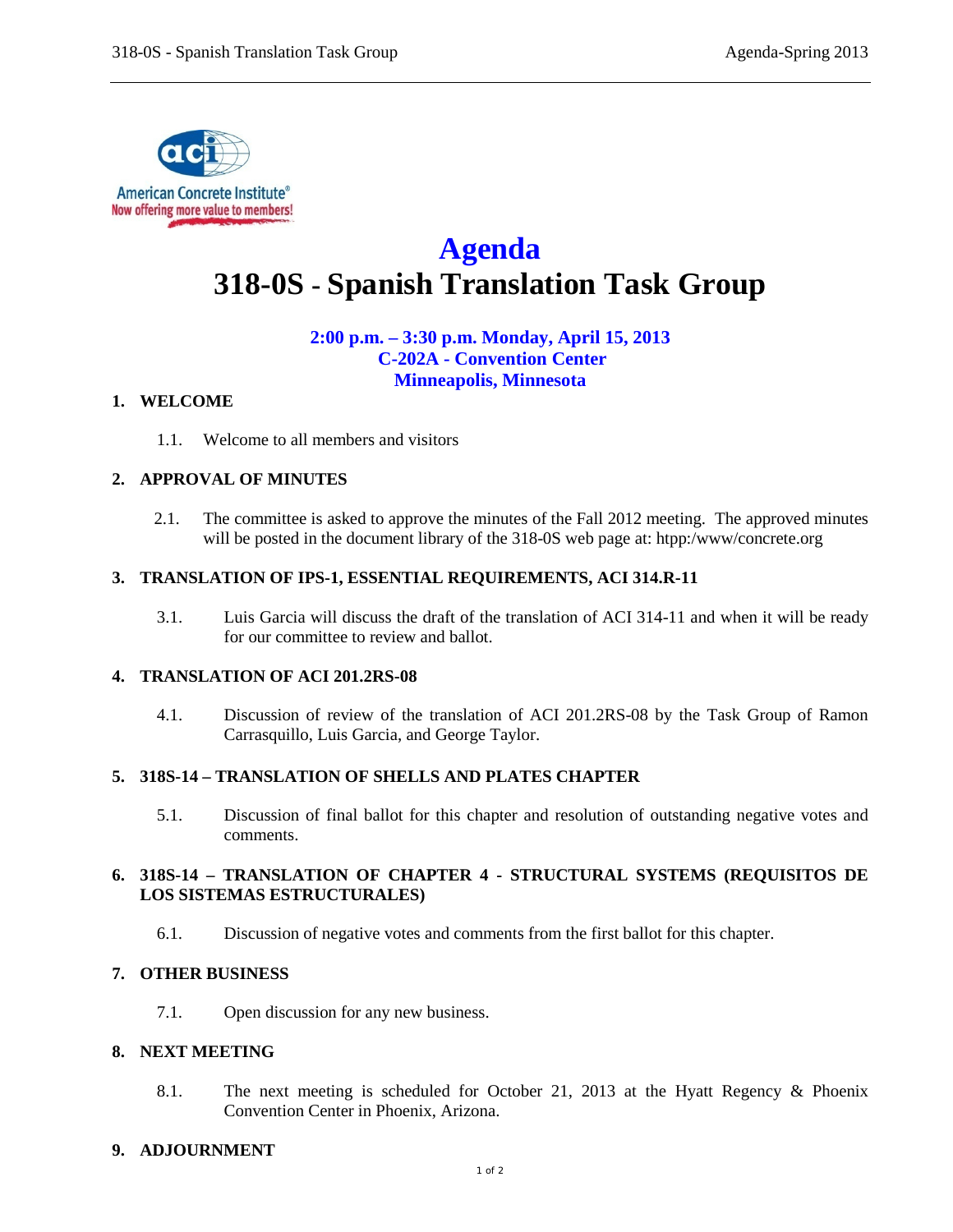

# **Agenda 318-0S - Spanish Translation Task Group**

## **2:00 p.m. – 3:30 p.m. Monday, April 15, 2013 C-202A - Convention Center Minneapolis, Minnesota**

#### **1. WELCOME**

1.1. Welcome to all members and visitors

## **2. APPROVAL OF MINUTES**

2.1. The committee is asked to approve the minutes of the Fall 2012 meeting. The approved minutes will be posted in the document library of the 318-0S web page at: htpp:/www/concrete.org

## **3. TRANSLATION OF IPS-1, ESSENTIAL REQUIREMENTS, ACI 314.R-11**

3.1. Luis Garcia will discuss the draft of the translation of ACI 314-11 and when it will be ready for our committee to review and ballot.

## **4. TRANSLATION OF ACI 201.2RS-08**

4.1. Discussion of review of the translation of ACI 201.2RS-08 by the Task Group of Ramon Carrasquillo, Luis Garcia, and George Taylor.

#### **5. 318S-14 – TRANSLATION OF SHELLS AND PLATES CHAPTER**

5.1. Discussion of final ballot for this chapter and resolution of outstanding negative votes and comments.

## **6. 318S-14 – TRANSLATION OF CHAPTER 4 - STRUCTURAL SYSTEMS (REQUISITOS DE LOS SISTEMAS ESTRUCTURALES)**

6.1. Discussion of negative votes and comments from the first ballot for this chapter.

## **7. OTHER BUSINESS**

7.1. Open discussion for any new business.

## **8. NEXT MEETING**

8.1. The next meeting is scheduled for October 21, 2013 at the Hyatt Regency & Phoenix Convention Center in Phoenix, Arizona.

## **9. ADJOURNMENT**